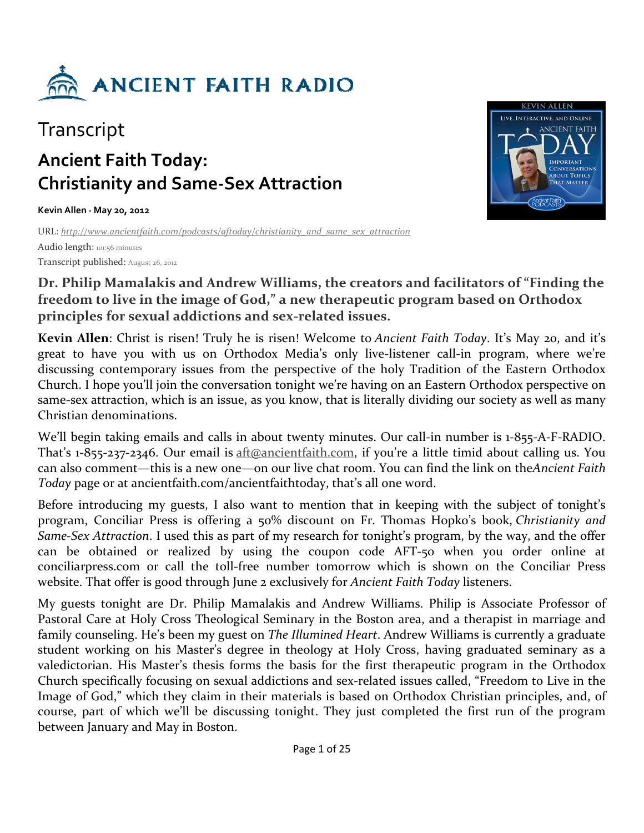

## **Transcript**

# **Ancient Faith Today: Christianity and Same-Sex Attraction**

**Kevin Allen · May 20, 2012** 

URL: *http://www.ancientfaith.com/podcasts/aftoday/christianity\_and\_same\_sex\_attraction* Audio length: 101:56 minutes

Transcript published: August 26, 2012



#### **Dr. Philip Mamalakis and Andrew Williams, the creators and facilitators of "Finding the freedom to live in the image of God," a new therapeutic program based on Orthodox principles for sexual addictions and sex-related issues.**

**Kevin Allen**: Christ is risen! Truly he is risen! Welcome to *Ancient Faith Today*. It's May 20, and it's great to have you with us on Orthodox Media's only live-listener call-in program, where we're discussing contemporary issues from the perspective of the holy Tradition of the Eastern Orthodox Church. I hope you'll join the conversation tonight we're having on an Eastern Orthodox perspective on same-sex attraction, which is an issue, as you know, that is literally dividing our society as well as many Christian denominations.

We'll begin taking emails and calls in about twenty minutes. Our call-in number is 1-855-A-F-RADIO. That's 1-855-237-2346. Our email is aft@ancientfaith.com, if you're a little timid about calling us. You can also comment—this is a new one—on our live chat room. You can find the link on the*Ancient Faith Today* page or at ancientfaith.com/ancientfaithtoday, that's all one word.

Before introducing my guests, I also want to mention that in keeping with the subject of tonight's program, Conciliar Press is offering a 50% discount on Fr. Thomas Hopko's book, *Christianity and Same-Sex Attraction*. I used this as part of my research for tonight's program, by the way, and the offer can be obtained or realized by using the coupon code AFT-50 when you order online at conciliarpress.com or call the toll-free number tomorrow which is shown on the Conciliar Press website. That offer is good through June 2 exclusively for *Ancient Faith Today* listeners.

My guests tonight are Dr. Philip Mamalakis and Andrew Williams. Philip is Associate Professor of Pastoral Care at Holy Cross Theological Seminary in the Boston area, and a therapist in marriage and family counseling. He's been my guest on *The Illumined Heart*. Andrew Williams is currently a graduate student working on his Master's degree in theology at Holy Cross, having graduated seminary as a valedictorian. His Master's thesis forms the basis for the first therapeutic program in the Orthodox Church specifically focusing on sexual addictions and sex-related issues called, "Freedom to Live in the Image of God," which they claim in their materials is based on Orthodox Christian principles, and, of course, part of which we'll be discussing tonight. They just completed the first run of the program between January and May in Boston.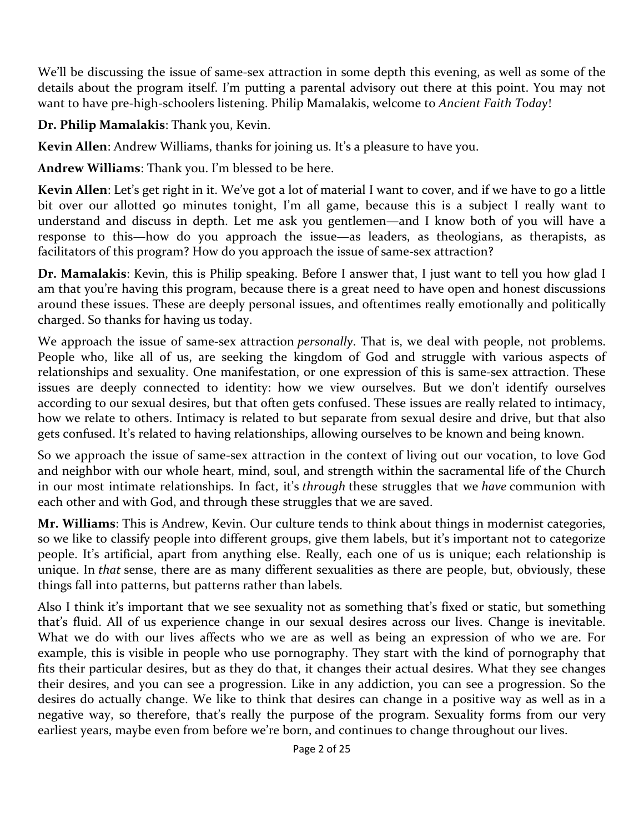We'll be discussing the issue of same-sex attraction in some depth this evening, as well as some of the details about the program itself. I'm putting a parental advisory out there at this point. You may not want to have pre-high-schoolers listening. Philip Mamalakis, welcome to *Ancient Faith Today*!

#### **Dr. Philip Mamalakis**: Thank you, Kevin.

**Kevin Allen**: Andrew Williams, thanks for joining us. It's a pleasure to have you.

**Andrew Williams**: Thank you. I'm blessed to be here.

**Kevin Allen**: Let's get right in it. We've got a lot of material I want to cover, and if we have to go a little bit over our allotted 90 minutes tonight, I'm all game, because this is a subject I really want to understand and discuss in depth. Let me ask you gentlemen—and I know both of you will have a response to this—how do you approach the issue—as leaders, as theologians, as therapists, as facilitators of this program? How do you approach the issue of same-sex attraction?

**Dr. Mamalakis**: Kevin, this is Philip speaking. Before I answer that, I just want to tell you how glad I am that you're having this program, because there is a great need to have open and honest discussions around these issues. These are deeply personal issues, and oftentimes really emotionally and politically charged. So thanks for having us today.

We approach the issue of same-sex attraction *personally*. That is, we deal with people, not problems. People who, like all of us, are seeking the kingdom of God and struggle with various aspects of relationships and sexuality. One manifestation, or one expression of this is same-sex attraction. These issues are deeply connected to identity: how we view ourselves. But we don't identify ourselves according to our sexual desires, but that often gets confused. These issues are really related to intimacy, how we relate to others. Intimacy is related to but separate from sexual desire and drive, but that also gets confused. It's related to having relationships, allowing ourselves to be known and being known.

So we approach the issue of same-sex attraction in the context of living out our vocation, to love God and neighbor with our whole heart, mind, soul, and strength within the sacramental life of the Church in our most intimate relationships. In fact, it's *through* these struggles that we *have* communion with each other and with God, and through these struggles that we are saved.

**Mr. Williams**: This is Andrew, Kevin. Our culture tends to think about things in modernist categories, so we like to classify people into different groups, give them labels, but it's important not to categorize people. It's artificial, apart from anything else. Really, each one of us is unique; each relationship is unique. In *that* sense, there are as many different sexualities as there are people, but, obviously, these things fall into patterns, but patterns rather than labels.

Also I think it's important that we see sexuality not as something that's fixed or static, but something that's fluid. All of us experience change in our sexual desires across our lives. Change is inevitable. What we do with our lives affects who we are as well as being an expression of who we are. For example, this is visible in people who use pornography. They start with the kind of pornography that fits their particular desires, but as they do that, it changes their actual desires. What they see changes their desires, and you can see a progression. Like in any addiction, you can see a progression. So the desires do actually change. We like to think that desires can change in a positive way as well as in a negative way, so therefore, that's really the purpose of the program. Sexuality forms from our very earliest years, maybe even from before we're born, and continues to change throughout our lives.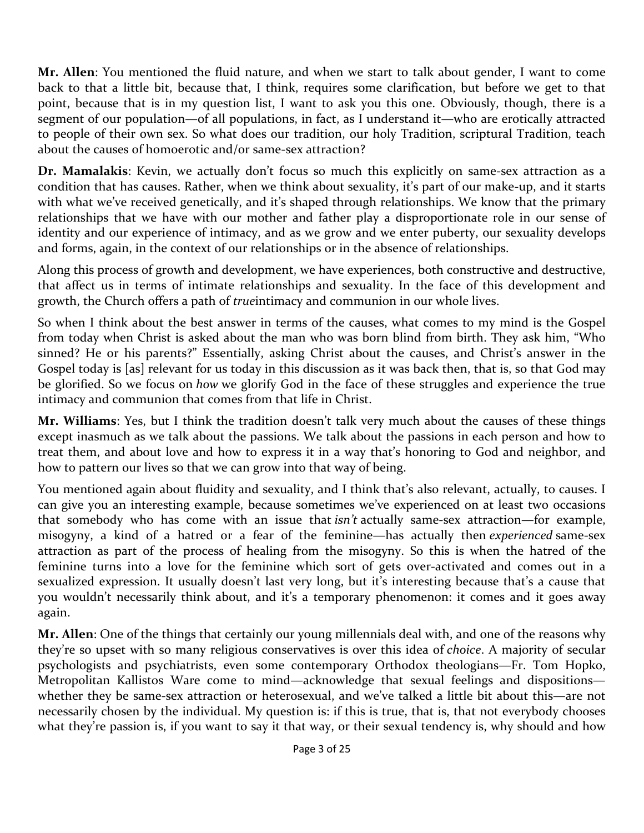**Mr. Allen**: You mentioned the fluid nature, and when we start to talk about gender, I want to come back to that a little bit, because that, I think, requires some clarification, but before we get to that point, because that is in my question list, I want to ask you this one. Obviously, though, there is a segment of our population—of all populations, in fact, as I understand it—who are erotically attracted to people of their own sex. So what does our tradition, our holy Tradition, scriptural Tradition, teach about the causes of homoerotic and/or same-sex attraction?

**Dr. Mamalakis**: Kevin, we actually don't focus so much this explicitly on same-sex attraction as a condition that has causes. Rather, when we think about sexuality, it's part of our make-up, and it starts with what we've received genetically, and it's shaped through relationships. We know that the primary relationships that we have with our mother and father play a disproportionate role in our sense of identity and our experience of intimacy, and as we grow and we enter puberty, our sexuality develops and forms, again, in the context of our relationships or in the absence of relationships.

Along this process of growth and development, we have experiences, both constructive and destructive, that affect us in terms of intimate relationships and sexuality. In the face of this development and growth, the Church offers a path of *true*intimacy and communion in our whole lives.

So when I think about the best answer in terms of the causes, what comes to my mind is the Gospel from today when Christ is asked about the man who was born blind from birth. They ask him, "Who sinned? He or his parents?" Essentially, asking Christ about the causes, and Christ's answer in the Gospel today is [as] relevant for us today in this discussion as it was back then, that is, so that God may be glorified. So we focus on *how* we glorify God in the face of these struggles and experience the true intimacy and communion that comes from that life in Christ.

**Mr. Williams**: Yes, but I think the tradition doesn't talk very much about the causes of these things except inasmuch as we talk about the passions. We talk about the passions in each person and how to treat them, and about love and how to express it in a way that's honoring to God and neighbor, and how to pattern our lives so that we can grow into that way of being.

You mentioned again about fluidity and sexuality, and I think that's also relevant, actually, to causes. I can give you an interesting example, because sometimes we've experienced on at least two occasions that somebody who has come with an issue that *isn't* actually same-sex attraction—for example, misogyny, a kind of a hatred or a fear of the feminine—has actually then *experienced* same-sex attraction as part of the process of healing from the misogyny. So this is when the hatred of the feminine turns into a love for the feminine which sort of gets over-activated and comes out in a sexualized expression. It usually doesn't last very long, but it's interesting because that's a cause that you wouldn't necessarily think about, and it's a temporary phenomenon: it comes and it goes away again.

**Mr. Allen**: One of the things that certainly our young millennials deal with, and one of the reasons why they're so upset with so many religious conservatives is over this idea of *choice*. A majority of secular psychologists and psychiatrists, even some contemporary Orthodox theologians—Fr. Tom Hopko, Metropolitan Kallistos Ware come to mind—acknowledge that sexual feelings and dispositions whether they be same-sex attraction or heterosexual, and we've talked a little bit about this—are not necessarily chosen by the individual. My question is: if this is true, that is, that not everybody chooses what they're passion is, if you want to say it that way, or their sexual tendency is, why should and how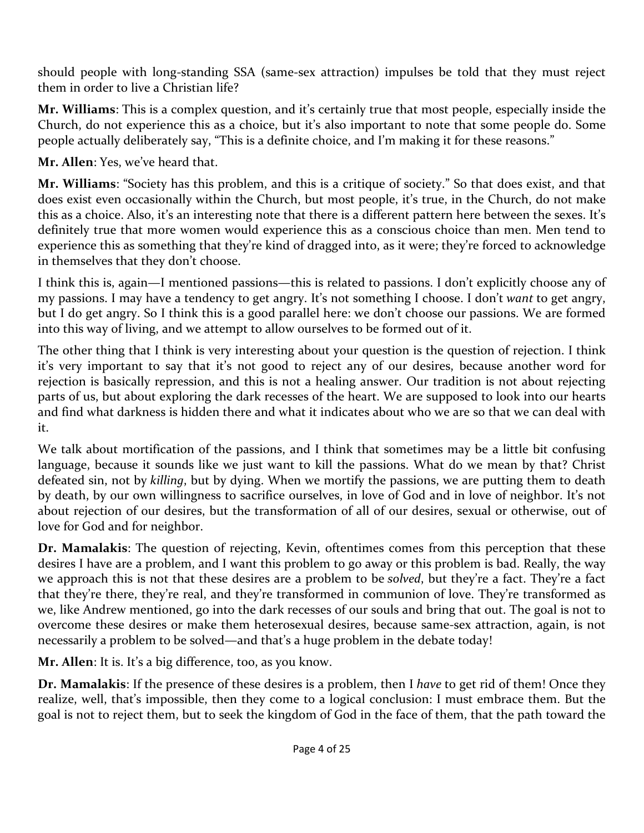should people with long-standing SSA (same-sex attraction) impulses be told that they must reject them in order to live a Christian life?

**Mr. Williams**: This is a complex question, and it's certainly true that most people, especially inside the Church, do not experience this as a choice, but it's also important to note that some people do. Some people actually deliberately say, "This is a definite choice, and I'm making it for these reasons."

**Mr. Allen**: Yes, we've heard that.

**Mr. Williams**: "Society has this problem, and this is a critique of society." So that does exist, and that does exist even occasionally within the Church, but most people, it's true, in the Church, do not make this as a choice. Also, it's an interesting note that there is a different pattern here between the sexes. It's definitely true that more women would experience this as a conscious choice than men. Men tend to experience this as something that they're kind of dragged into, as it were; they're forced to acknowledge in themselves that they don't choose.

I think this is, again—I mentioned passions—this is related to passions. I don't explicitly choose any of my passions. I may have a tendency to get angry. It's not something I choose. I don't *want* to get angry, but I do get angry. So I think this is a good parallel here: we don't choose our passions. We are formed into this way of living, and we attempt to allow ourselves to be formed out of it.

The other thing that I think is very interesting about your question is the question of rejection. I think it's very important to say that it's not good to reject any of our desires, because another word for rejection is basically repression, and this is not a healing answer. Our tradition is not about rejecting parts of us, but about exploring the dark recesses of the heart. We are supposed to look into our hearts and find what darkness is hidden there and what it indicates about who we are so that we can deal with it.

We talk about mortification of the passions, and I think that sometimes may be a little bit confusing language, because it sounds like we just want to kill the passions. What do we mean by that? Christ defeated sin, not by *killing*, but by dying. When we mortify the passions, we are putting them to death by death, by our own willingness to sacrifice ourselves, in love of God and in love of neighbor. It's not about rejection of our desires, but the transformation of all of our desires, sexual or otherwise, out of love for God and for neighbor.

**Dr. Mamalakis**: The question of rejecting, Kevin, oftentimes comes from this perception that these desires I have are a problem, and I want this problem to go away or this problem is bad. Really, the way we approach this is not that these desires are a problem to be *solved*, but they're a fact. They're a fact that they're there, they're real, and they're transformed in communion of love. They're transformed as we, like Andrew mentioned, go into the dark recesses of our souls and bring that out. The goal is not to overcome these desires or make them heterosexual desires, because same-sex attraction, again, is not necessarily a problem to be solved—and that's a huge problem in the debate today!

**Mr. Allen**: It is. It's a big difference, too, as you know.

**Dr. Mamalakis**: If the presence of these desires is a problem, then I *have* to get rid of them! Once they realize, well, that's impossible, then they come to a logical conclusion: I must embrace them. But the goal is not to reject them, but to seek the kingdom of God in the face of them, that the path toward the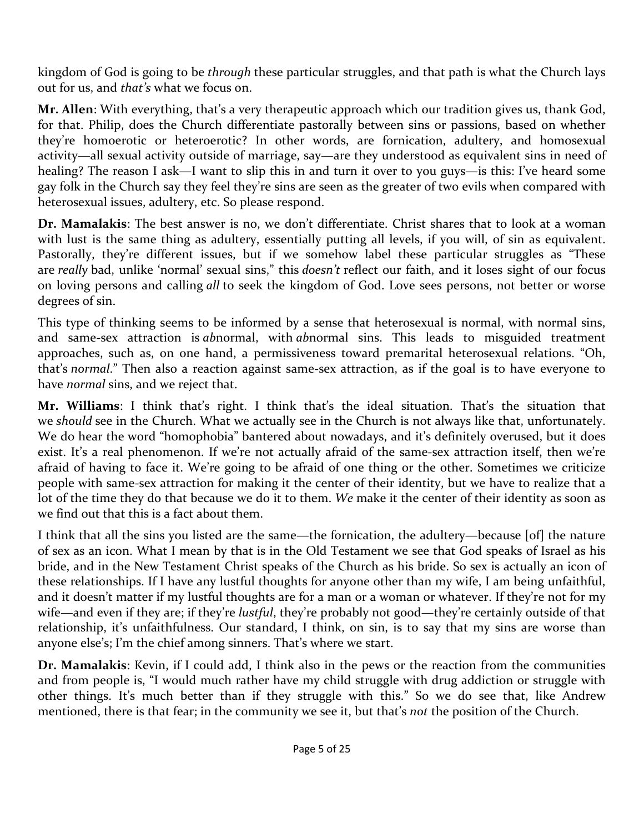kingdom of God is going to be *through* these particular struggles, and that path is what the Church lays out for us, and *that's* what we focus on.

**Mr. Allen**: With everything, that's a very therapeutic approach which our tradition gives us, thank God, for that. Philip, does the Church differentiate pastorally between sins or passions, based on whether they're homoerotic or heteroerotic? In other words, are fornication, adultery, and homosexual activity—all sexual activity outside of marriage, say—are they understood as equivalent sins in need of healing? The reason I ask—I want to slip this in and turn it over to you guys—is this: I've heard some gay folk in the Church say they feel they're sins are seen as the greater of two evils when compared with heterosexual issues, adultery, etc. So please respond.

**Dr. Mamalakis**: The best answer is no, we don't differentiate. Christ shares that to look at a woman with lust is the same thing as adultery, essentially putting all levels, if you will, of sin as equivalent. Pastorally, they're different issues, but if we somehow label these particular struggles as "These are *really* bad, unlike 'normal' sexual sins," this *doesn't* reflect our faith, and it loses sight of our focus on loving persons and calling *all* to seek the kingdom of God. Love sees persons, not better or worse degrees of sin.

This type of thinking seems to be informed by a sense that heterosexual is normal, with normal sins, and same-sex attraction is *ab*normal, with *ab*normal sins. This leads to misguided treatment approaches, such as, on one hand, a permissiveness toward premarital heterosexual relations. "Oh, that's *normal*." Then also a reaction against same-sex attraction, as if the goal is to have everyone to have *normal* sins, and we reject that.

**Mr. Williams**: I think that's right. I think that's the ideal situation. That's the situation that we *should* see in the Church. What we actually see in the Church is not always like that, unfortunately. We do hear the word "homophobia" bantered about nowadays, and it's definitely overused, but it does exist. It's a real phenomenon. If we're not actually afraid of the same-sex attraction itself, then we're afraid of having to face it. We're going to be afraid of one thing or the other. Sometimes we criticize people with same-sex attraction for making it the center of their identity, but we have to realize that a lot of the time they do that because we do it to them. *We* make it the center of their identity as soon as we find out that this is a fact about them.

I think that all the sins you listed are the same—the fornication, the adultery—because [of] the nature of sex as an icon. What I mean by that is in the Old Testament we see that God speaks of Israel as his bride, and in the New Testament Christ speaks of the Church as his bride. So sex is actually an icon of these relationships. If I have any lustful thoughts for anyone other than my wife, I am being unfaithful, and it doesn't matter if my lustful thoughts are for a man or a woman or whatever. If they're not for my wife—and even if they are; if they're *lustful*, they're probably not good—they're certainly outside of that relationship, it's unfaithfulness. Our standard, I think, on sin, is to say that my sins are worse than anyone else's; I'm the chief among sinners. That's where we start.

**Dr. Mamalakis**: Kevin, if I could add, I think also in the pews or the reaction from the communities and from people is, "I would much rather have my child struggle with drug addiction or struggle with other things. It's much better than if they struggle with this." So we do see that, like Andrew mentioned, there is that fear; in the community we see it, but that's *not* the position of the Church.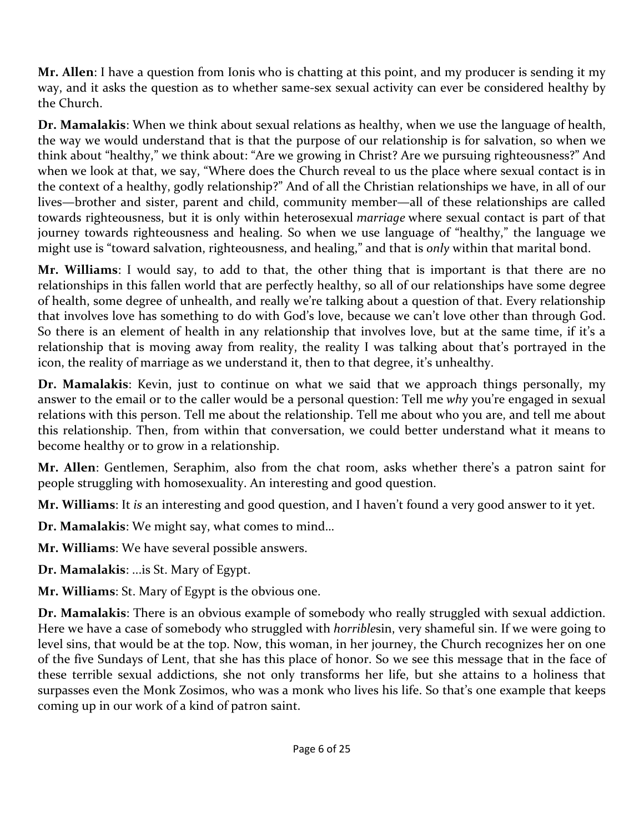**Mr. Allen**: I have a question from Ionis who is chatting at this point, and my producer is sending it my way, and it asks the question as to whether same-sex sexual activity can ever be considered healthy by the Church.

**Dr. Mamalakis**: When we think about sexual relations as healthy, when we use the language of health, the way we would understand that is that the purpose of our relationship is for salvation, so when we think about "healthy," we think about: "Are we growing in Christ? Are we pursuing righteousness?" And when we look at that, we say, "Where does the Church reveal to us the place where sexual contact is in the context of a healthy, godly relationship?" And of all the Christian relationships we have, in all of our lives—brother and sister, parent and child, community member—all of these relationships are called towards righteousness, but it is only within heterosexual *marriage* where sexual contact is part of that journey towards righteousness and healing. So when we use language of "healthy," the language we might use is "toward salvation, righteousness, and healing," and that is *only* within that marital bond.

**Mr. Williams**: I would say, to add to that, the other thing that is important is that there are no relationships in this fallen world that are perfectly healthy, so all of our relationships have some degree of health, some degree of unhealth, and really we're talking about a question of that. Every relationship that involves love has something to do with God's love, because we can't love other than through God. So there is an element of health in any relationship that involves love, but at the same time, if it's a relationship that is moving away from reality, the reality I was talking about that's portrayed in the icon, the reality of marriage as we understand it, then to that degree, it's unhealthy.

**Dr. Mamalakis**: Kevin, just to continue on what we said that we approach things personally, my answer to the email or to the caller would be a personal question: Tell me *why* you're engaged in sexual relations with this person. Tell me about the relationship. Tell me about who you are, and tell me about this relationship. Then, from within that conversation, we could better understand what it means to become healthy or to grow in a relationship.

**Mr. Allen**: Gentlemen, Seraphim, also from the chat room, asks whether there's a patron saint for people struggling with homosexuality. An interesting and good question.

**Mr. Williams**: It *is* an interesting and good question, and I haven't found a very good answer to it yet.

**Dr. Mamalakis**: We might say, what comes to mind…

**Mr. Williams**: We have several possible answers.

**Dr. Mamalakis**: ...is St. Mary of Egypt.

**Mr. Williams**: St. Mary of Egypt is the obvious one.

**Dr. Mamalakis**: There is an obvious example of somebody who really struggled with sexual addiction. Here we have a case of somebody who struggled with *horrible*sin, very shameful sin. If we were going to level sins, that would be at the top. Now, this woman, in her journey, the Church recognizes her on one of the five Sundays of Lent, that she has this place of honor. So we see this message that in the face of these terrible sexual addictions, she not only transforms her life, but she attains to a holiness that surpasses even the Monk Zosimos, who was a monk who lives his life. So that's one example that keeps coming up in our work of a kind of patron saint.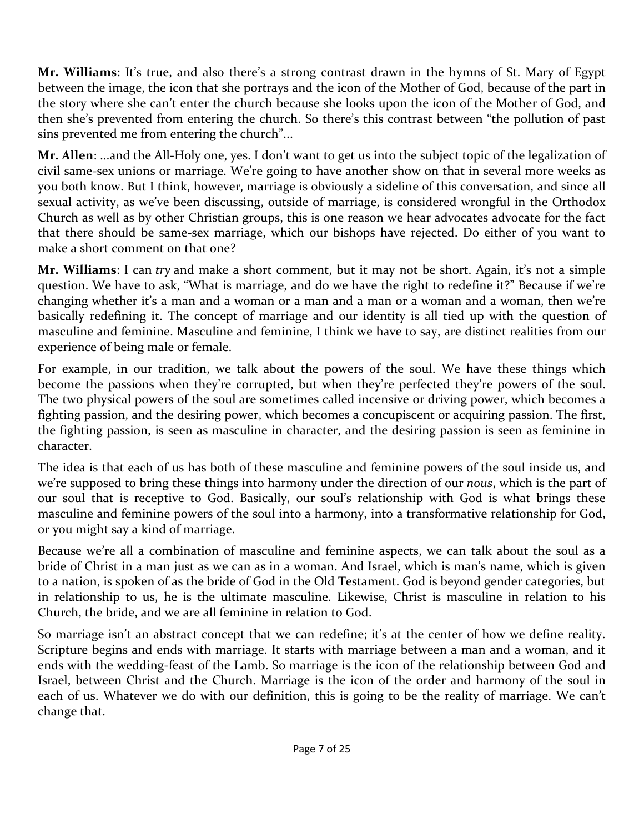**Mr. Williams**: It's true, and also there's a strong contrast drawn in the hymns of St. Mary of Egypt between the image, the icon that she portrays and the icon of the Mother of God, because of the part in the story where she can't enter the church because she looks upon the icon of the Mother of God, and then she's prevented from entering the church. So there's this contrast between "the pollution of past sins prevented me from entering the church"...

**Mr. Allen**: ...and the All-Holy one, yes. I don't want to get us into the subject topic of the legalization of civil same-sex unions or marriage. We're going to have another show on that in several more weeks as you both know. But I think, however, marriage is obviously a sideline of this conversation, and since all sexual activity, as we've been discussing, outside of marriage, is considered wrongful in the Orthodox Church as well as by other Christian groups, this is one reason we hear advocates advocate for the fact that there should be same-sex marriage, which our bishops have rejected. Do either of you want to make a short comment on that one?

**Mr. Williams**: I can *try* and make a short comment, but it may not be short. Again, it's not a simple question. We have to ask, "What is marriage, and do we have the right to redefine it?" Because if we're changing whether it's a man and a woman or a man and a man or a woman and a woman, then we're basically redefining it. The concept of marriage and our identity is all tied up with the question of masculine and feminine. Masculine and feminine, I think we have to say, are distinct realities from our experience of being male or female.

For example, in our tradition, we talk about the powers of the soul. We have these things which become the passions when they're corrupted, but when they're perfected they're powers of the soul. The two physical powers of the soul are sometimes called incensive or driving power, which becomes a fighting passion, and the desiring power, which becomes a concupiscent or acquiring passion. The first, the fighting passion, is seen as masculine in character, and the desiring passion is seen as feminine in character.

The idea is that each of us has both of these masculine and feminine powers of the soul inside us, and we're supposed to bring these things into harmony under the direction of our *nous*, which is the part of our soul that is receptive to God. Basically, our soul's relationship with God is what brings these masculine and feminine powers of the soul into a harmony, into a transformative relationship for God, or you might say a kind of marriage.

Because we're all a combination of masculine and feminine aspects, we can talk about the soul as a bride of Christ in a man just as we can as in a woman. And Israel, which is man's name, which is given to a nation, is spoken of as the bride of God in the Old Testament. God is beyond gender categories, but in relationship to us, he is the ultimate masculine. Likewise, Christ is masculine in relation to his Church, the bride, and we are all feminine in relation to God.

So marriage isn't an abstract concept that we can redefine; it's at the center of how we define reality. Scripture begins and ends with marriage. It starts with marriage between a man and a woman, and it ends with the wedding-feast of the Lamb. So marriage is the icon of the relationship between God and Israel, between Christ and the Church. Marriage is the icon of the order and harmony of the soul in each of us. Whatever we do with our definition, this is going to be the reality of marriage. We can't change that.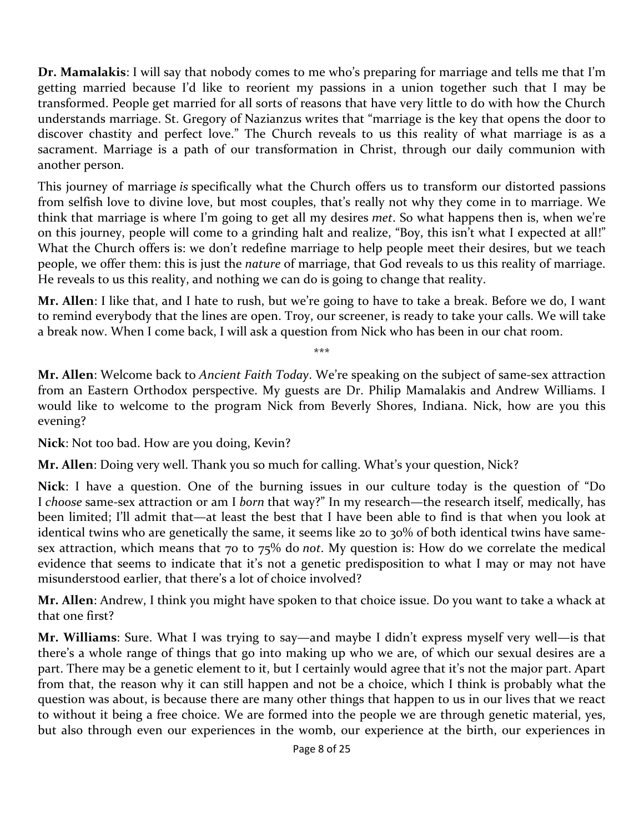**Dr. Mamalakis**: I will say that nobody comes to me who's preparing for marriage and tells me that I'm getting married because I'd like to reorient my passions in a union together such that I may be transformed. People get married for all sorts of reasons that have very little to do with how the Church understands marriage. St. Gregory of Nazianzus writes that "marriage is the key that opens the door to discover chastity and perfect love." The Church reveals to us this reality of what marriage is as a sacrament. Marriage is a path of our transformation in Christ, through our daily communion with another person.

This journey of marriage *is* specifically what the Church offers us to transform our distorted passions from selfish love to divine love, but most couples, that's really not why they come in to marriage. We think that marriage is where I'm going to get all my desires *met*. So what happens then is, when we're on this journey, people will come to a grinding halt and realize, "Boy, this isn't what I expected at all!" What the Church offers is: we don't redefine marriage to help people meet their desires, but we teach people, we offer them: this is just the *nature* of marriage, that God reveals to us this reality of marriage. He reveals to us this reality, and nothing we can do is going to change that reality.

**Mr. Allen**: I like that, and I hate to rush, but we're going to have to take a break. Before we do, I want to remind everybody that the lines are open. Troy, our screener, is ready to take your calls. We will take a break now. When I come back, I will ask a question from Nick who has been in our chat room.

\*\*\*

**Mr. Allen**: Welcome back to *Ancient Faith Today*. We're speaking on the subject of same-sex attraction from an Eastern Orthodox perspective. My guests are Dr. Philip Mamalakis and Andrew Williams. I would like to welcome to the program Nick from Beverly Shores, Indiana. Nick, how are you this evening?

**Nick**: Not too bad. How are you doing, Kevin?

**Mr. Allen**: Doing very well. Thank you so much for calling. What's your question, Nick?

**Nick**: I have a question. One of the burning issues in our culture today is the question of "Do I *choose* same-sex attraction or am I *born* that way?" In my research—the research itself, medically, has been limited; I'll admit that—at least the best that I have been able to find is that when you look at identical twins who are genetically the same, it seems like 20 to 30% of both identical twins have samesex attraction, which means that 70 to 75% do *not*. My question is: How do we correlate the medical evidence that seems to indicate that it's not a genetic predisposition to what I may or may not have misunderstood earlier, that there's a lot of choice involved?

**Mr. Allen**: Andrew, I think you might have spoken to that choice issue. Do you want to take a whack at that one first?

**Mr. Williams**: Sure. What I was trying to say—and maybe I didn't express myself very well—is that there's a whole range of things that go into making up who we are, of which our sexual desires are a part. There may be a genetic element to it, but I certainly would agree that it's not the major part. Apart from that, the reason why it can still happen and not be a choice, which I think is probably what the question was about, is because there are many other things that happen to us in our lives that we react to without it being a free choice. We are formed into the people we are through genetic material, yes, but also through even our experiences in the womb, our experience at the birth, our experiences in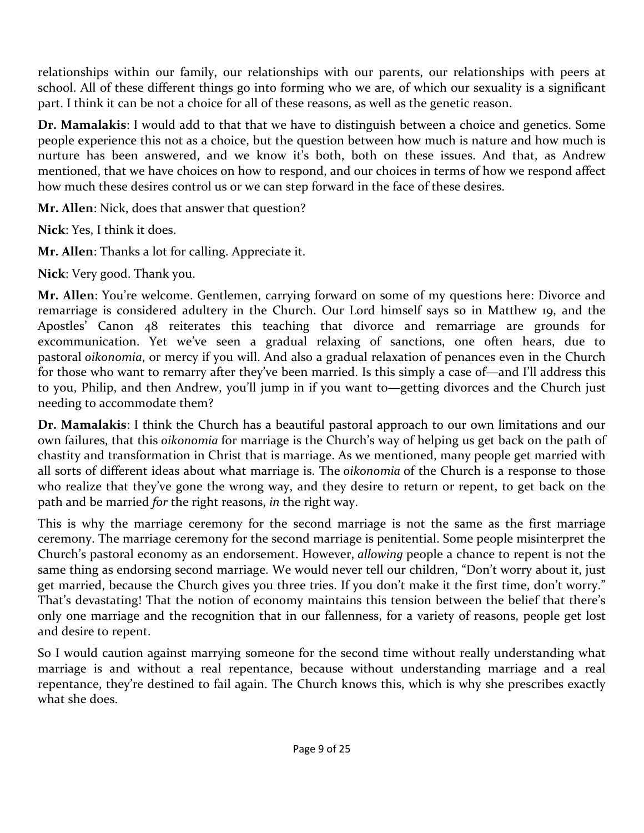relationships within our family, our relationships with our parents, our relationships with peers at school. All of these different things go into forming who we are, of which our sexuality is a significant part. I think it can be not a choice for all of these reasons, as well as the genetic reason.

**Dr. Mamalakis**: I would add to that that we have to distinguish between a choice and genetics. Some people experience this not as a choice, but the question between how much is nature and how much is nurture has been answered, and we know it's both, both on these issues. And that, as Andrew mentioned, that we have choices on how to respond, and our choices in terms of how we respond affect how much these desires control us or we can step forward in the face of these desires.

**Mr. Allen**: Nick, does that answer that question?

**Nick**: Yes, I think it does.

**Mr. Allen**: Thanks a lot for calling. Appreciate it.

**Nick**: Very good. Thank you.

**Mr. Allen**: You're welcome. Gentlemen, carrying forward on some of my questions here: Divorce and remarriage is considered adultery in the Church. Our Lord himself says so in Matthew 19, and the Apostles' Canon 48 reiterates this teaching that divorce and remarriage are grounds for excommunication. Yet we've seen a gradual relaxing of sanctions, one often hears, due to pastoral *oikonomia*, or mercy if you will. And also a gradual relaxation of penances even in the Church for those who want to remarry after they've been married. Is this simply a case of—and I'll address this to you, Philip, and then Andrew, you'll jump in if you want to—getting divorces and the Church just needing to accommodate them?

**Dr. Mamalakis**: I think the Church has a beautiful pastoral approach to our own limitations and our own failures, that this *oikonomia* for marriage is the Church's way of helping us get back on the path of chastity and transformation in Christ that is marriage. As we mentioned, many people get married with all sorts of different ideas about what marriage is. The *oikonomia* of the Church is a response to those who realize that they've gone the wrong way, and they desire to return or repent, to get back on the path and be married *for* the right reasons, *in* the right way.

This is why the marriage ceremony for the second marriage is not the same as the first marriage ceremony. The marriage ceremony for the second marriage is penitential. Some people misinterpret the Church's pastoral economy as an endorsement. However, *allowing* people a chance to repent is not the same thing as endorsing second marriage. We would never tell our children, "Don't worry about it, just get married, because the Church gives you three tries. If you don't make it the first time, don't worry." That's devastating! That the notion of economy maintains this tension between the belief that there's only one marriage and the recognition that in our fallenness, for a variety of reasons, people get lost and desire to repent.

So I would caution against marrying someone for the second time without really understanding what marriage is and without a real repentance, because without understanding marriage and a real repentance, they're destined to fail again. The Church knows this, which is why she prescribes exactly what she does.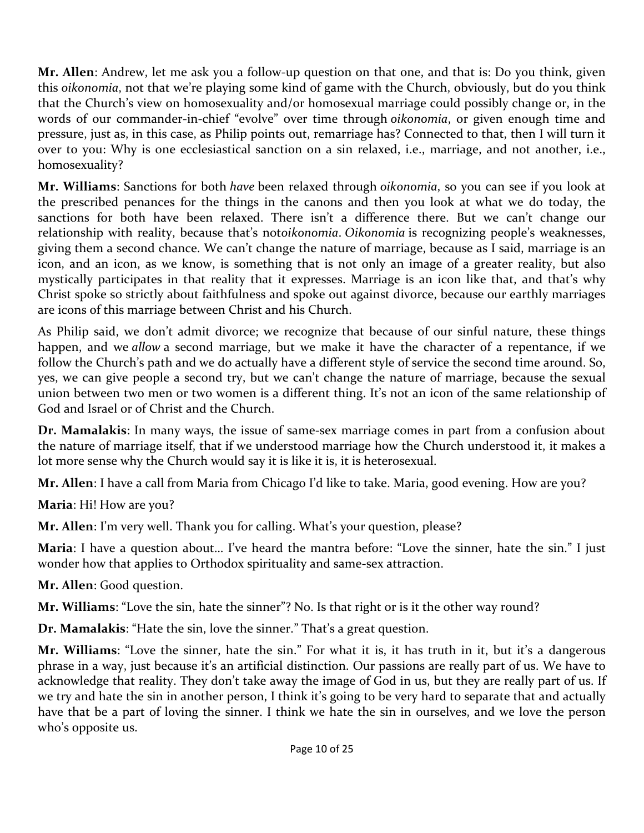**Mr. Allen**: Andrew, let me ask you a follow-up question on that one, and that is: Do you think, given this *oikonomia*, not that we're playing some kind of game with the Church, obviously, but do you think that the Church's view on homosexuality and/or homosexual marriage could possibly change or, in the words of our commander-in-chief "evolve" over time through *oikonomia*, or given enough time and pressure, just as, in this case, as Philip points out, remarriage has? Connected to that, then I will turn it over to you: Why is one ecclesiastical sanction on a sin relaxed, i.e., marriage, and not another, i.e., homosexuality?

**Mr. Williams**: Sanctions for both *have* been relaxed through *oikonomia*, so you can see if you look at the prescribed penances for the things in the canons and then you look at what we do today, the sanctions for both have been relaxed. There isn't a difference there. But we can't change our relationship with reality, because that's not*oikonomia*. *Oikonomia* is recognizing people's weaknesses, giving them a second chance. We can't change the nature of marriage, because as I said, marriage is an icon, and an icon, as we know, is something that is not only an image of a greater reality, but also mystically participates in that reality that it expresses. Marriage is an icon like that, and that's why Christ spoke so strictly about faithfulness and spoke out against divorce, because our earthly marriages are icons of this marriage between Christ and his Church.

As Philip said, we don't admit divorce; we recognize that because of our sinful nature, these things happen, and we *allow* a second marriage, but we make it have the character of a repentance, if we follow the Church's path and we do actually have a different style of service the second time around. So, yes, we can give people a second try, but we can't change the nature of marriage, because the sexual union between two men or two women is a different thing. It's not an icon of the same relationship of God and Israel or of Christ and the Church.

**Dr. Mamalakis**: In many ways, the issue of same-sex marriage comes in part from a confusion about the nature of marriage itself, that if we understood marriage how the Church understood it, it makes a lot more sense why the Church would say it is like it is, it is heterosexual.

**Mr. Allen**: I have a call from Maria from Chicago I'd like to take. Maria, good evening. How are you?

**Maria**: Hi! How are you?

**Mr. Allen**: I'm very well. Thank you for calling. What's your question, please?

**Maria**: I have a question about… I've heard the mantra before: "Love the sinner, hate the sin." I just wonder how that applies to Orthodox spirituality and same-sex attraction.

**Mr. Allen**: Good question.

**Mr. Williams**: "Love the sin, hate the sinner"? No. Is that right or is it the other way round?

**Dr. Mamalakis**: "Hate the sin, love the sinner." That's a great question.

**Mr. Williams**: "Love the sinner, hate the sin." For what it is, it has truth in it, but it's a dangerous phrase in a way, just because it's an artificial distinction. Our passions are really part of us. We have to acknowledge that reality. They don't take away the image of God in us, but they are really part of us. If we try and hate the sin in another person, I think it's going to be very hard to separate that and actually have that be a part of loving the sinner. I think we hate the sin in ourselves, and we love the person who's opposite us.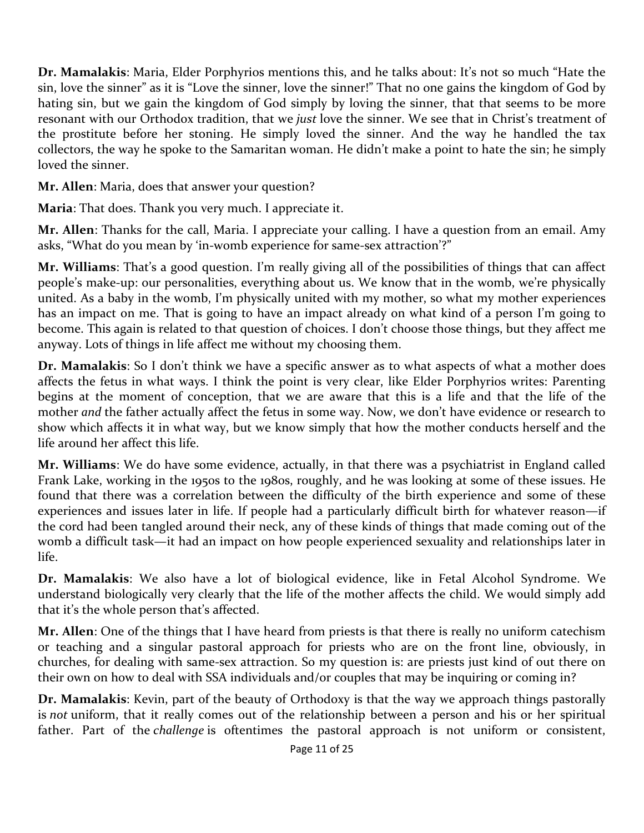**Dr. Mamalakis**: Maria, Elder Porphyrios mentions this, and he talks about: It's not so much "Hate the sin, love the sinner" as it is "Love the sinner, love the sinner!" That no one gains the kingdom of God by hating sin, but we gain the kingdom of God simply by loving the sinner, that that seems to be more resonant with our Orthodox tradition, that we *just* love the sinner. We see that in Christ's treatment of the prostitute before her stoning. He simply loved the sinner. And the way he handled the tax collectors, the way he spoke to the Samaritan woman. He didn't make a point to hate the sin; he simply loved the sinner.

**Mr. Allen**: Maria, does that answer your question?

**Maria**: That does. Thank you very much. I appreciate it.

**Mr. Allen**: Thanks for the call, Maria. I appreciate your calling. I have a question from an email. Amy asks, "What do you mean by 'in-womb experience for same-sex attraction'?"

**Mr. Williams**: That's a good question. I'm really giving all of the possibilities of things that can affect people's make-up: our personalities, everything about us. We know that in the womb, we're physically united. As a baby in the womb, I'm physically united with my mother, so what my mother experiences has an impact on me. That is going to have an impact already on what kind of a person I'm going to become. This again is related to that question of choices. I don't choose those things, but they affect me anyway. Lots of things in life affect me without my choosing them.

**Dr. Mamalakis**: So I don't think we have a specific answer as to what aspects of what a mother does affects the fetus in what ways. I think the point is very clear, like Elder Porphyrios writes: Parenting begins at the moment of conception, that we are aware that this is a life and that the life of the mother *and* the father actually affect the fetus in some way. Now, we don't have evidence or research to show which affects it in what way, but we know simply that how the mother conducts herself and the life around her affect this life.

**Mr. Williams**: We do have some evidence, actually, in that there was a psychiatrist in England called Frank Lake, working in the 1950s to the 1980s, roughly, and he was looking at some of these issues. He found that there was a correlation between the difficulty of the birth experience and some of these experiences and issues later in life. If people had a particularly difficult birth for whatever reason—if the cord had been tangled around their neck, any of these kinds of things that made coming out of the womb a difficult task—it had an impact on how people experienced sexuality and relationships later in life.

**Dr. Mamalakis**: We also have a lot of biological evidence, like in Fetal Alcohol Syndrome. We understand biologically very clearly that the life of the mother affects the child. We would simply add that it's the whole person that's affected.

**Mr. Allen**: One of the things that I have heard from priests is that there is really no uniform catechism or teaching and a singular pastoral approach for priests who are on the front line, obviously, in churches, for dealing with same-sex attraction. So my question is: are priests just kind of out there on their own on how to deal with SSA individuals and/or couples that may be inquiring or coming in?

**Dr. Mamalakis**: Kevin, part of the beauty of Orthodoxy is that the way we approach things pastorally is *not* uniform, that it really comes out of the relationship between a person and his or her spiritual father. Part of the *challenge* is oftentimes the pastoral approach is not uniform or consistent,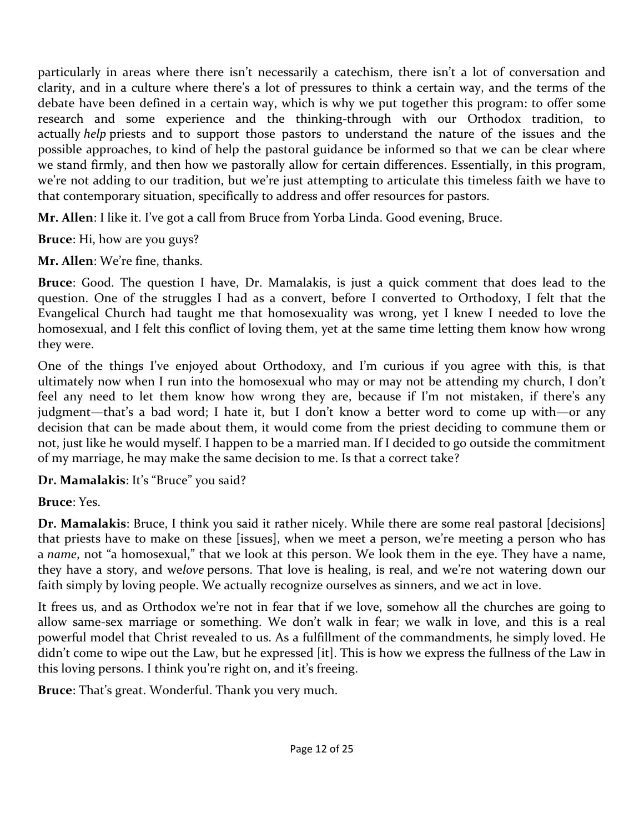particularly in areas where there isn't necessarily a catechism, there isn't a lot of conversation and clarity, and in a culture where there's a lot of pressures to think a certain way, and the terms of the debate have been defined in a certain way, which is why we put together this program: to offer some research and some experience and the thinking-through with our Orthodox tradition, to actually *help* priests and to support those pastors to understand the nature of the issues and the possible approaches, to kind of help the pastoral guidance be informed so that we can be clear where we stand firmly, and then how we pastorally allow for certain differences. Essentially, in this program, we're not adding to our tradition, but we're just attempting to articulate this timeless faith we have to that contemporary situation, specifically to address and offer resources for pastors.

**Mr. Allen**: I like it. I've got a call from Bruce from Yorba Linda. Good evening, Bruce.

**Bruce**: Hi, how are you guys?

**Mr. Allen**: We're fine, thanks.

**Bruce**: Good. The question I have, Dr. Mamalakis, is just a quick comment that does lead to the question. One of the struggles I had as a convert, before I converted to Orthodoxy, I felt that the Evangelical Church had taught me that homosexuality was wrong, yet I knew I needed to love the homosexual, and I felt this conflict of loving them, yet at the same time letting them know how wrong they were.

One of the things I've enjoyed about Orthodoxy, and I'm curious if you agree with this, is that ultimately now when I run into the homosexual who may or may not be attending my church, I don't feel any need to let them know how wrong they are, because if I'm not mistaken, if there's any judgment—that's a bad word; I hate it, but I don't know a better word to come up with—or any decision that can be made about them, it would come from the priest deciding to commune them or not, just like he would myself. I happen to be a married man. If I decided to go outside the commitment of my marriage, he may make the same decision to me. Is that a correct take?

**Dr. Mamalakis**: It's "Bruce" you said?

## **Bruce**: Yes.

**Dr. Mamalakis**: Bruce, I think you said it rather nicely. While there are some real pastoral [decisions] that priests have to make on these [issues], when we meet a person, we're meeting a person who has a *name*, not "a homosexual," that we look at this person. We look them in the eye. They have a name, they have a story, and we*love* persons. That love is healing, is real, and we're not watering down our faith simply by loving people. We actually recognize ourselves as sinners, and we act in love.

It frees us, and as Orthodox we're not in fear that if we love, somehow all the churches are going to allow same-sex marriage or something. We don't walk in fear; we walk in love, and this is a real powerful model that Christ revealed to us. As a fulfillment of the commandments, he simply loved. He didn't come to wipe out the Law, but he expressed [it]. This is how we express the fullness of the Law in this loving persons. I think you're right on, and it's freeing.

**Bruce**: That's great. Wonderful. Thank you very much.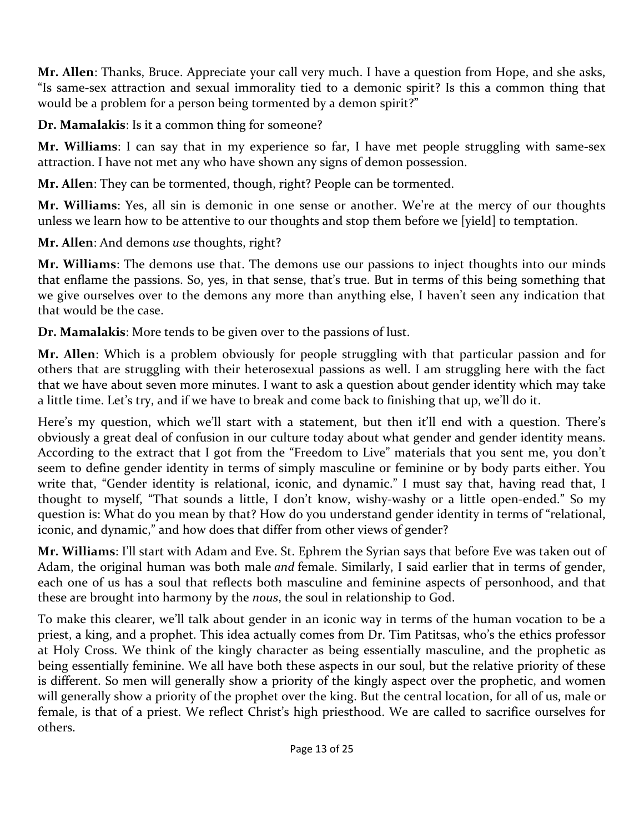**Mr. Allen**: Thanks, Bruce. Appreciate your call very much. I have a question from Hope, and she asks, "Is same-sex attraction and sexual immorality tied to a demonic spirit? Is this a common thing that would be a problem for a person being tormented by a demon spirit?"

**Dr. Mamalakis**: Is it a common thing for someone?

**Mr. Williams**: I can say that in my experience so far, I have met people struggling with same-sex attraction. I have not met any who have shown any signs of demon possession.

**Mr. Allen**: They can be tormented, though, right? People can be tormented.

**Mr. Williams**: Yes, all sin is demonic in one sense or another. We're at the mercy of our thoughts unless we learn how to be attentive to our thoughts and stop them before we [yield] to temptation.

**Mr. Allen**: And demons *use* thoughts, right?

**Mr. Williams**: The demons use that. The demons use our passions to inject thoughts into our minds that enflame the passions. So, yes, in that sense, that's true. But in terms of this being something that we give ourselves over to the demons any more than anything else, I haven't seen any indication that that would be the case.

**Dr. Mamalakis**: More tends to be given over to the passions of lust.

**Mr. Allen**: Which is a problem obviously for people struggling with that particular passion and for others that are struggling with their heterosexual passions as well. I am struggling here with the fact that we have about seven more minutes. I want to ask a question about gender identity which may take a little time. Let's try, and if we have to break and come back to finishing that up, we'll do it.

Here's my question, which we'll start with a statement, but then it'll end with a question. There's obviously a great deal of confusion in our culture today about what gender and gender identity means. According to the extract that I got from the "Freedom to Live" materials that you sent me, you don't seem to define gender identity in terms of simply masculine or feminine or by body parts either. You write that, "Gender identity is relational, iconic, and dynamic." I must say that, having read that, I thought to myself, "That sounds a little, I don't know, wishy-washy or a little open-ended." So my question is: What do you mean by that? How do you understand gender identity in terms of "relational, iconic, and dynamic," and how does that differ from other views of gender?

**Mr. Williams**: I'll start with Adam and Eve. St. Ephrem the Syrian says that before Eve was taken out of Adam, the original human was both male *and* female. Similarly, I said earlier that in terms of gender, each one of us has a soul that reflects both masculine and feminine aspects of personhood, and that these are brought into harmony by the *nous*, the soul in relationship to God.

To make this clearer, we'll talk about gender in an iconic way in terms of the human vocation to be a priest, a king, and a prophet. This idea actually comes from Dr. Tim Patitsas, who's the ethics professor at Holy Cross. We think of the kingly character as being essentially masculine, and the prophetic as being essentially feminine. We all have both these aspects in our soul, but the relative priority of these is different. So men will generally show a priority of the kingly aspect over the prophetic, and women will generally show a priority of the prophet over the king. But the central location, for all of us, male or female, is that of a priest. We reflect Christ's high priesthood. We are called to sacrifice ourselves for others.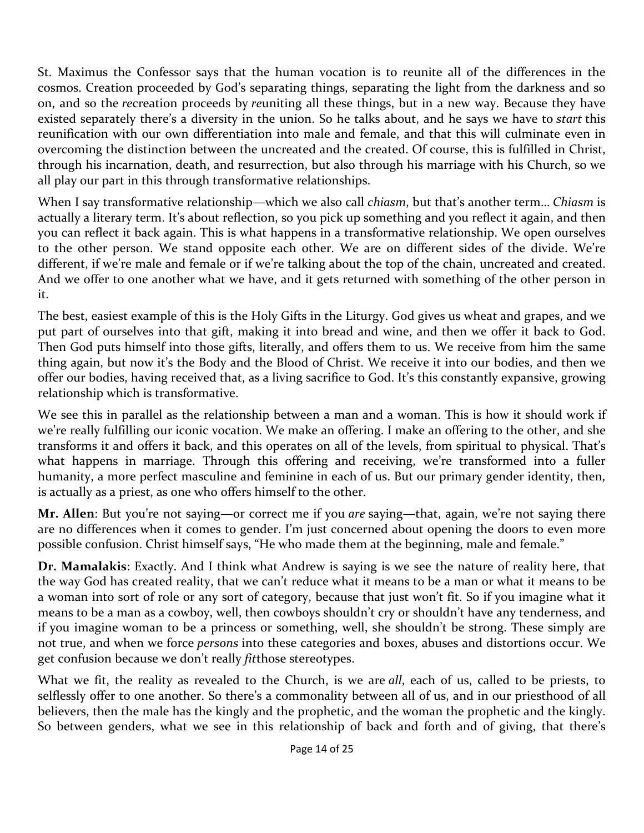St. Maximus the Confessor says that the human vocation is to reunite all of the differences in the cosmos. Creation proceeded by God's separating things, separating the light from the darkness and so on, and so the *re*creation proceeds by *re*uniting all these things, but in a new way. Because they have existed separately there's a diversity in the union. So he talks about, and he says we have to *start* this reunification with our own differentiation into male and female, and that this will culminate even in overcoming the distinction between the uncreated and the created. Of course, this is fulfilled in Christ, through his incarnation, death, and resurrection, but also through his marriage with his Church, so we all play our part in this through transformative relationships.

When I say transformative relationship—which we also call *chiasm*, but that's another term… *Chiasm* is actually a literary term. It's about reflection, so you pick up something and you reflect it again, and then you can reflect it back again. This is what happens in a transformative relationship. We open ourselves to the other person. We stand opposite each other. We are on different sides of the divide. We're different, if we're male and female or if we're talking about the top of the chain, uncreated and created. And we offer to one another what we have, and it gets returned with something of the other person in it.

The best, easiest example of this is the Holy Gifts in the Liturgy. God gives us wheat and grapes, and we put part of ourselves into that gift, making it into bread and wine, and then we offer it back to God. Then God puts himself into those gifts, literally, and offers them to us. We receive from him the same thing again, but now it's the Body and the Blood of Christ. We receive it into our bodies, and then we offer our bodies, having received that, as a living sacrifice to God. It's this constantly expansive, growing relationship which is transformative.

We see this in parallel as the relationship between a man and a woman. This is how it should work if we're really fulfilling our iconic vocation. We make an offering. I make an offering to the other, and she transforms it and offers it back, and this operates on all of the levels, from spiritual to physical. That's what happens in marriage. Through this offering and receiving, we're transformed into a fuller humanity, a more perfect masculine and feminine in each of us. But our primary gender identity, then, is actually as a priest, as one who offers himself to the other.

**Mr. Allen**: But you're not saying—or correct me if you *are* saying—that, again, we're not saying there are no differences when it comes to gender. I'm just concerned about opening the doors to even more possible confusion. Christ himself says, "He who made them at the beginning, male and female."

**Dr. Mamalakis**: Exactly. And I think what Andrew is saying is we see the nature of reality here, that the way God has created reality, that we can't reduce what it means to be a man or what it means to be a woman into sort of role or any sort of category, because that just won't fit. So if you imagine what it means to be a man as a cowboy, well, then cowboys shouldn't cry or shouldn't have any tenderness, and if you imagine woman to be a princess or something, well, she shouldn't be strong. These simply are not true, and when we force *persons* into these categories and boxes, abuses and distortions occur. We get confusion because we don't really *fit*those stereotypes.

What we fit, the reality as revealed to the Church, is we are *all*, each of us, called to be priests, to selflessly offer to one another. So there's a commonality between all of us, and in our priesthood of all believers, then the male has the kingly and the prophetic, and the woman the prophetic and the kingly. So between genders, what we see in this relationship of back and forth and of giving, that there's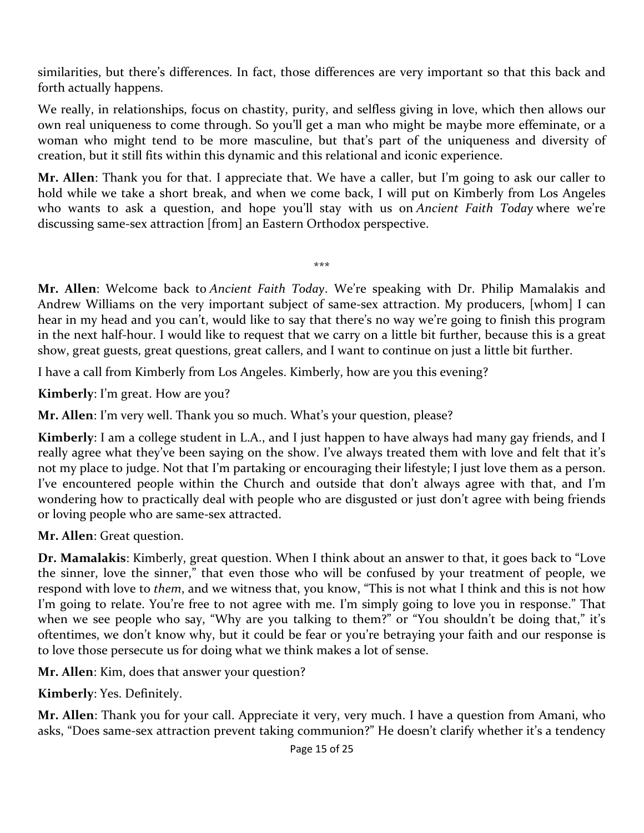similarities, but there's differences. In fact, those differences are very important so that this back and forth actually happens.

We really, in relationships, focus on chastity, purity, and selfless giving in love, which then allows our own real uniqueness to come through. So you'll get a man who might be maybe more effeminate, or a woman who might tend to be more masculine, but that's part of the uniqueness and diversity of creation, but it still fits within this dynamic and this relational and iconic experience.

**Mr. Allen**: Thank you for that. I appreciate that. We have a caller, but I'm going to ask our caller to hold while we take a short break, and when we come back, I will put on Kimberly from Los Angeles who wants to ask a question, and hope you'll stay with us on *Ancient Faith Today* where we're discussing same-sex attraction [from] an Eastern Orthodox perspective.

\*\*\*

**Mr. Allen**: Welcome back to *Ancient Faith Today*. We're speaking with Dr. Philip Mamalakis and Andrew Williams on the very important subject of same-sex attraction. My producers, [whom] I can hear in my head and you can't, would like to say that there's no way we're going to finish this program in the next half-hour. I would like to request that we carry on a little bit further, because this is a great show, great guests, great questions, great callers, and I want to continue on just a little bit further.

I have a call from Kimberly from Los Angeles. Kimberly, how are you this evening?

**Kimberly**: I'm great. How are you?

**Mr. Allen**: I'm very well. Thank you so much. What's your question, please?

**Kimberly**: I am a college student in L.A., and I just happen to have always had many gay friends, and I really agree what they've been saying on the show. I've always treated them with love and felt that it's not my place to judge. Not that I'm partaking or encouraging their lifestyle; I just love them as a person. I've encountered people within the Church and outside that don't always agree with that, and I'm wondering how to practically deal with people who are disgusted or just don't agree with being friends or loving people who are same-sex attracted.

**Mr. Allen**: Great question.

**Dr. Mamalakis**: Kimberly, great question. When I think about an answer to that, it goes back to "Love the sinner, love the sinner," that even those who will be confused by your treatment of people, we respond with love to *them*, and we witness that, you know, "This is not what I think and this is not how I'm going to relate. You're free to not agree with me. I'm simply going to love you in response." That when we see people who say, "Why are you talking to them?" or "You shouldn't be doing that," it's oftentimes, we don't know why, but it could be fear or you're betraying your faith and our response is to love those persecute us for doing what we think makes a lot of sense.

**Mr. Allen**: Kim, does that answer your question?

**Kimberly**: Yes. Definitely.

**Mr. Allen**: Thank you for your call. Appreciate it very, very much. I have a question from Amani, who asks, "Does same-sex attraction prevent taking communion?" He doesn't clarify whether it's a tendency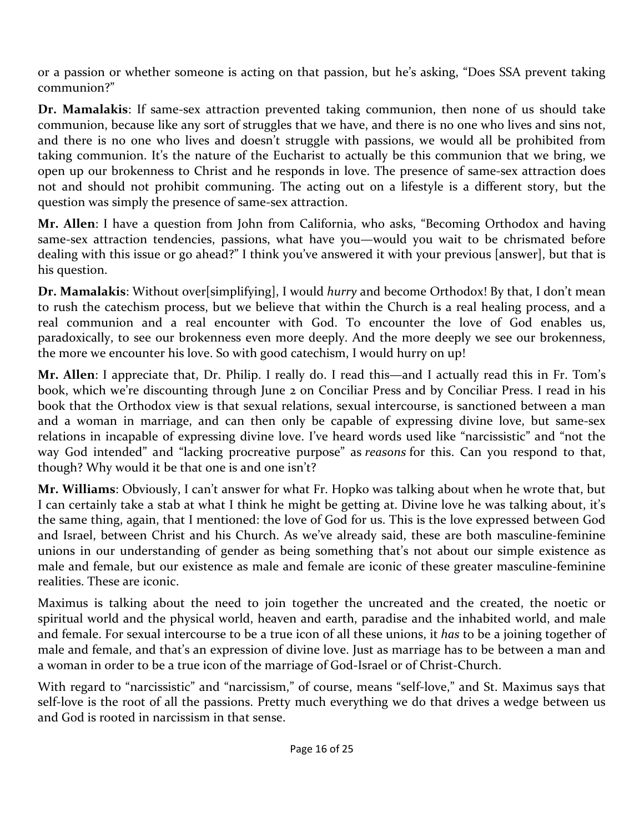or a passion or whether someone is acting on that passion, but he's asking, "Does SSA prevent taking communion?"

**Dr. Mamalakis**: If same-sex attraction prevented taking communion, then none of us should take communion, because like any sort of struggles that we have, and there is no one who lives and sins not, and there is no one who lives and doesn't struggle with passions, we would all be prohibited from taking communion. It's the nature of the Eucharist to actually be this communion that we bring, we open up our brokenness to Christ and he responds in love. The presence of same-sex attraction does not and should not prohibit communing. The acting out on a lifestyle is a different story, but the question was simply the presence of same-sex attraction.

**Mr. Allen**: I have a question from John from California, who asks, "Becoming Orthodox and having same-sex attraction tendencies, passions, what have you—would you wait to be chrismated before dealing with this issue or go ahead?" I think you've answered it with your previous [answer], but that is his question.

**Dr. Mamalakis**: Without over[simplifying], I would *hurry* and become Orthodox! By that, I don't mean to rush the catechism process, but we believe that within the Church is a real healing process, and a real communion and a real encounter with God. To encounter the love of God enables us, paradoxically, to see our brokenness even more deeply. And the more deeply we see our brokenness, the more we encounter his love. So with good catechism, I would hurry on up!

**Mr. Allen**: I appreciate that, Dr. Philip. I really do. I read this—and I actually read this in Fr. Tom's book, which we're discounting through June 2 on Conciliar Press and by Conciliar Press. I read in his book that the Orthodox view is that sexual relations, sexual intercourse, is sanctioned between a man and a woman in marriage, and can then only be capable of expressing divine love, but same-sex relations in incapable of expressing divine love. I've heard words used like "narcissistic" and "not the way God intended" and "lacking procreative purpose" as *reasons* for this. Can you respond to that, though? Why would it be that one is and one isn't?

**Mr. Williams**: Obviously, I can't answer for what Fr. Hopko was talking about when he wrote that, but I can certainly take a stab at what I think he might be getting at. Divine love he was talking about, it's the same thing, again, that I mentioned: the love of God for us. This is the love expressed between God and Israel, between Christ and his Church. As we've already said, these are both masculine-feminine unions in our understanding of gender as being something that's not about our simple existence as male and female, but our existence as male and female are iconic of these greater masculine-feminine realities. These are iconic.

Maximus is talking about the need to join together the uncreated and the created, the noetic or spiritual world and the physical world, heaven and earth, paradise and the inhabited world, and male and female. For sexual intercourse to be a true icon of all these unions, it *has* to be a joining together of male and female, and that's an expression of divine love. Just as marriage has to be between a man and a woman in order to be a true icon of the marriage of God-Israel or of Christ-Church.

With regard to "narcissistic" and "narcissism," of course, means "self-love," and St. Maximus says that self-love is the root of all the passions. Pretty much everything we do that drives a wedge between us and God is rooted in narcissism in that sense.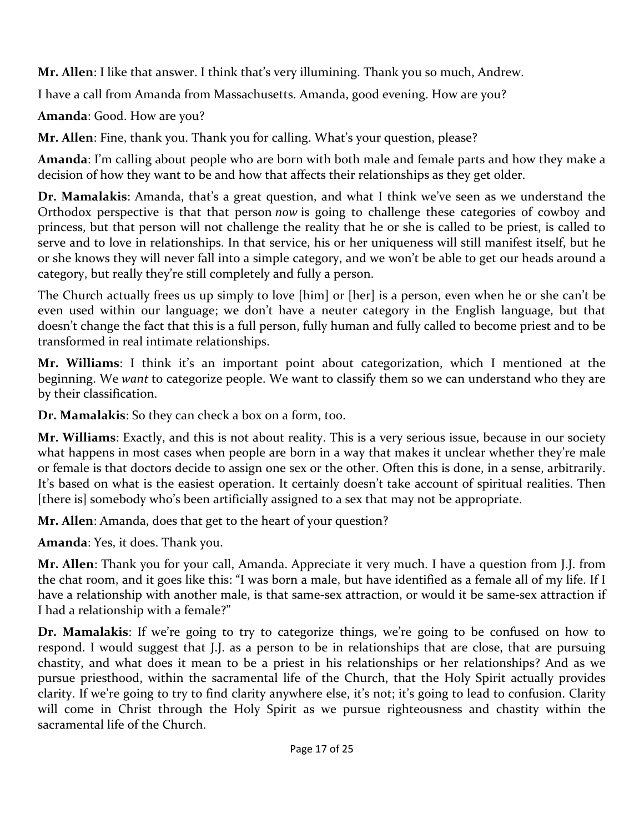**Mr. Allen**: I like that answer. I think that's very illumining. Thank you so much, Andrew.

I have a call from Amanda from Massachusetts. Amanda, good evening. How are you?

**Amanda**: Good. How are you?

**Mr. Allen**: Fine, thank you. Thank you for calling. What's your question, please?

**Amanda**: I'm calling about people who are born with both male and female parts and how they make a decision of how they want to be and how that affects their relationships as they get older.

**Dr. Mamalakis**: Amanda, that's a great question, and what I think we've seen as we understand the Orthodox perspective is that that person *now* is going to challenge these categories of cowboy and princess, but that person will not challenge the reality that he or she is called to be priest, is called to serve and to love in relationships. In that service, his or her uniqueness will still manifest itself, but he or she knows they will never fall into a simple category, and we won't be able to get our heads around a category, but really they're still completely and fully a person.

The Church actually frees us up simply to love [him] or [her] is a person, even when he or she can't be even used within our language; we don't have a neuter category in the English language, but that doesn't change the fact that this is a full person, fully human and fully called to become priest and to be transformed in real intimate relationships.

**Mr. Williams**: I think it's an important point about categorization, which I mentioned at the beginning. We *want* to categorize people. We want to classify them so we can understand who they are by their classification.

**Dr. Mamalakis**: So they can check a box on a form, too.

**Mr. Williams**: Exactly, and this is not about reality. This is a very serious issue, because in our society what happens in most cases when people are born in a way that makes it unclear whether they're male or female is that doctors decide to assign one sex or the other. Often this is done, in a sense, arbitrarily. It's based on what is the easiest operation. It certainly doesn't take account of spiritual realities. Then [there is] somebody who's been artificially assigned to a sex that may not be appropriate.

**Mr. Allen**: Amanda, does that get to the heart of your question?

**Amanda**: Yes, it does. Thank you.

**Mr. Allen**: Thank you for your call, Amanda. Appreciate it very much. I have a question from J.J. from the chat room, and it goes like this: "I was born a male, but have identified as a female all of my life. If I have a relationship with another male, is that same-sex attraction, or would it be same-sex attraction if I had a relationship with a female?"

**Dr. Mamalakis**: If we're going to try to categorize things, we're going to be confused on how to respond. I would suggest that J.J. as a person to be in relationships that are close, that are pursuing chastity, and what does it mean to be a priest in his relationships or her relationships? And as we pursue priesthood, within the sacramental life of the Church, that the Holy Spirit actually provides clarity. If we're going to try to find clarity anywhere else, it's not; it's going to lead to confusion. Clarity will come in Christ through the Holy Spirit as we pursue righteousness and chastity within the sacramental life of the Church.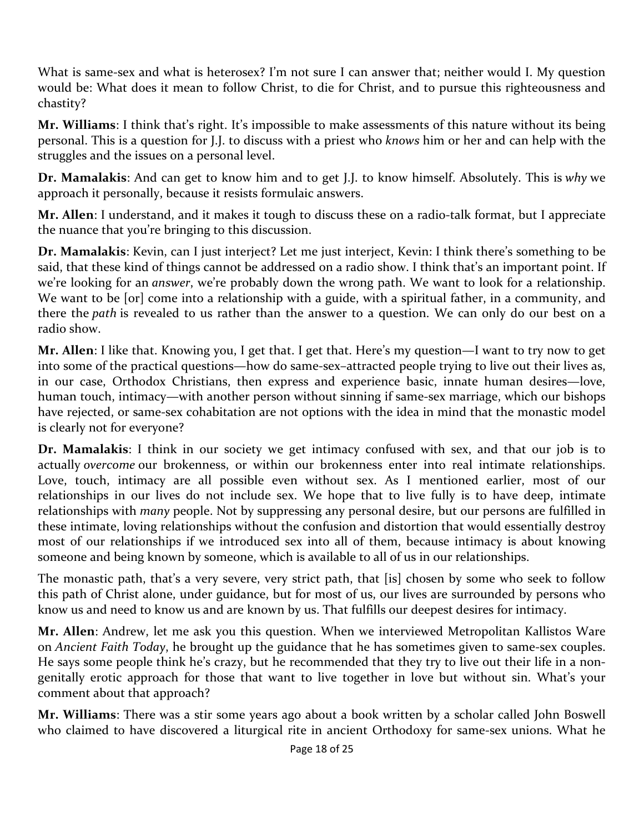What is same-sex and what is heterosex? I'm not sure I can answer that; neither would I. My question would be: What does it mean to follow Christ, to die for Christ, and to pursue this righteousness and chastity?

**Mr. Williams**: I think that's right. It's impossible to make assessments of this nature without its being personal. This is a question for J.J. to discuss with a priest who *knows* him or her and can help with the struggles and the issues on a personal level.

**Dr. Mamalakis**: And can get to know him and to get J.J. to know himself. Absolutely. This is *why* we approach it personally, because it resists formulaic answers.

**Mr. Allen**: I understand, and it makes it tough to discuss these on a radio-talk format, but I appreciate the nuance that you're bringing to this discussion.

**Dr. Mamalakis**: Kevin, can I just interject? Let me just interject, Kevin: I think there's something to be said, that these kind of things cannot be addressed on a radio show. I think that's an important point. If we're looking for an *answer*, we're probably down the wrong path. We want to look for a relationship. We want to be [or] come into a relationship with a guide, with a spiritual father, in a community, and there the *path* is revealed to us rather than the answer to a question. We can only do our best on a radio show.

**Mr. Allen**: I like that. Knowing you, I get that. I get that. Here's my question—I want to try now to get into some of the practical questions—how do same-sex–attracted people trying to live out their lives as, in our case, Orthodox Christians, then express and experience basic, innate human desires—love, human touch, intimacy—with another person without sinning if same-sex marriage, which our bishops have rejected, or same-sex cohabitation are not options with the idea in mind that the monastic model is clearly not for everyone?

**Dr. Mamalakis**: I think in our society we get intimacy confused with sex, and that our job is to actually *overcome* our brokenness, or within our brokenness enter into real intimate relationships. Love, touch, intimacy are all possible even without sex. As I mentioned earlier, most of our relationships in our lives do not include sex. We hope that to live fully is to have deep, intimate relationships with *many* people. Not by suppressing any personal desire, but our persons are fulfilled in these intimate, loving relationships without the confusion and distortion that would essentially destroy most of our relationships if we introduced sex into all of them, because intimacy is about knowing someone and being known by someone, which is available to all of us in our relationships.

The monastic path, that's a very severe, very strict path, that [is] chosen by some who seek to follow this path of Christ alone, under guidance, but for most of us, our lives are surrounded by persons who know us and need to know us and are known by us. That fulfills our deepest desires for intimacy.

**Mr. Allen**: Andrew, let me ask you this question. When we interviewed Metropolitan Kallistos Ware on *Ancient Faith Today*, he brought up the guidance that he has sometimes given to same-sex couples. He says some people think he's crazy, but he recommended that they try to live out their life in a nongenitally erotic approach for those that want to live together in love but without sin. What's your comment about that approach?

**Mr. Williams**: There was a stir some years ago about a book written by a scholar called John Boswell who claimed to have discovered a liturgical rite in ancient Orthodoxy for same-sex unions. What he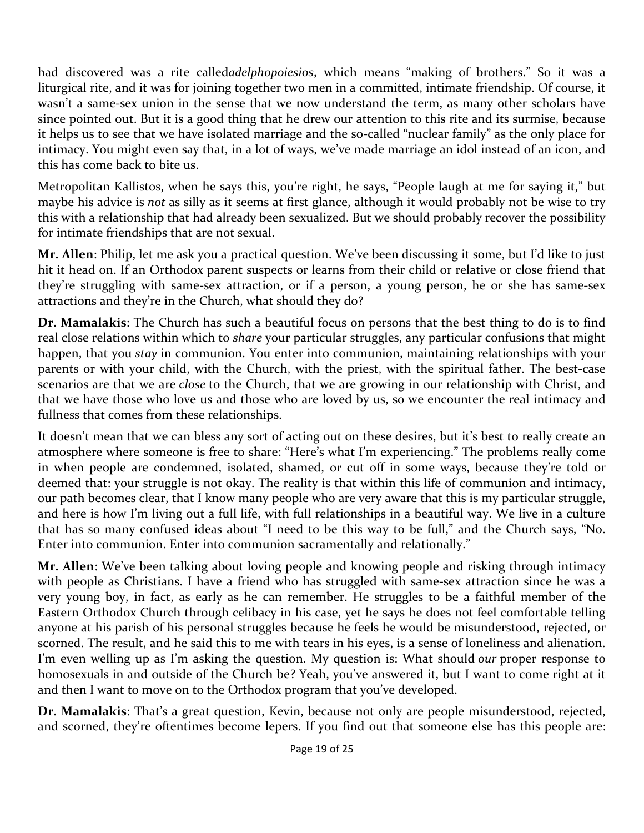had discovered was a rite called*adelphopoiesios*, which means "making of brothers." So it was a liturgical rite, and it was for joining together two men in a committed, intimate friendship. Of course, it wasn't a same-sex union in the sense that we now understand the term, as many other scholars have since pointed out. But it is a good thing that he drew our attention to this rite and its surmise, because it helps us to see that we have isolated marriage and the so-called "nuclear family" as the only place for intimacy. You might even say that, in a lot of ways, we've made marriage an idol instead of an icon, and this has come back to bite us.

Metropolitan Kallistos, when he says this, you're right, he says, "People laugh at me for saying it," but maybe his advice is *not* as silly as it seems at first glance, although it would probably not be wise to try this with a relationship that had already been sexualized. But we should probably recover the possibility for intimate friendships that are not sexual.

**Mr. Allen**: Philip, let me ask you a practical question. We've been discussing it some, but I'd like to just hit it head on. If an Orthodox parent suspects or learns from their child or relative or close friend that they're struggling with same-sex attraction, or if a person, a young person, he or she has same-sex attractions and they're in the Church, what should they do?

**Dr. Mamalakis**: The Church has such a beautiful focus on persons that the best thing to do is to find real close relations within which to *share* your particular struggles, any particular confusions that might happen, that you *stay* in communion. You enter into communion, maintaining relationships with your parents or with your child, with the Church, with the priest, with the spiritual father. The best-case scenarios are that we are *close* to the Church, that we are growing in our relationship with Christ, and that we have those who love us and those who are loved by us, so we encounter the real intimacy and fullness that comes from these relationships.

It doesn't mean that we can bless any sort of acting out on these desires, but it's best to really create an atmosphere where someone is free to share: "Here's what I'm experiencing." The problems really come in when people are condemned, isolated, shamed, or cut off in some ways, because they're told or deemed that: your struggle is not okay. The reality is that within this life of communion and intimacy, our path becomes clear, that I know many people who are very aware that this is my particular struggle, and here is how I'm living out a full life, with full relationships in a beautiful way. We live in a culture that has so many confused ideas about "I need to be this way to be full," and the Church says, "No. Enter into communion. Enter into communion sacramentally and relationally."

**Mr. Allen**: We've been talking about loving people and knowing people and risking through intimacy with people as Christians. I have a friend who has struggled with same-sex attraction since he was a very young boy, in fact, as early as he can remember. He struggles to be a faithful member of the Eastern Orthodox Church through celibacy in his case, yet he says he does not feel comfortable telling anyone at his parish of his personal struggles because he feels he would be misunderstood, rejected, or scorned. The result, and he said this to me with tears in his eyes, is a sense of loneliness and alienation. I'm even welling up as I'm asking the question. My question is: What should *our* proper response to homosexuals in and outside of the Church be? Yeah, you've answered it, but I want to come right at it and then I want to move on to the Orthodox program that you've developed.

**Dr. Mamalakis**: That's a great question, Kevin, because not only are people misunderstood, rejected, and scorned, they're oftentimes become lepers. If you find out that someone else has this people are: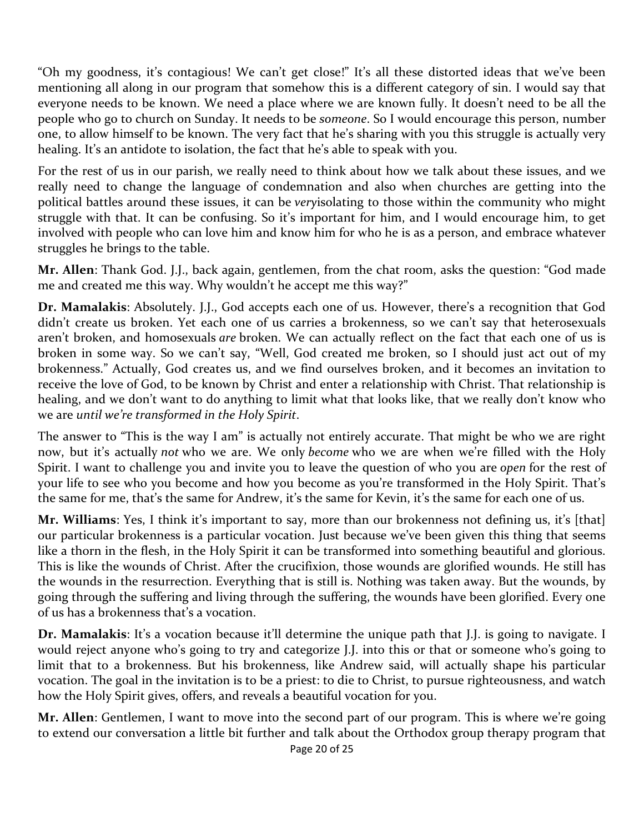"Oh my goodness, it's contagious! We can't get close!" It's all these distorted ideas that we've been mentioning all along in our program that somehow this is a different category of sin. I would say that everyone needs to be known. We need a place where we are known fully. It doesn't need to be all the people who go to church on Sunday. It needs to be *someone*. So I would encourage this person, number one, to allow himself to be known. The very fact that he's sharing with you this struggle is actually very healing. It's an antidote to isolation, the fact that he's able to speak with you.

For the rest of us in our parish, we really need to think about how we talk about these issues, and we really need to change the language of condemnation and also when churches are getting into the political battles around these issues, it can be *very*isolating to those within the community who might struggle with that. It can be confusing. So it's important for him, and I would encourage him, to get involved with people who can love him and know him for who he is as a person, and embrace whatever struggles he brings to the table.

**Mr. Allen**: Thank God. J.J., back again, gentlemen, from the chat room, asks the question: "God made me and created me this way. Why wouldn't he accept me this way?"

**Dr. Mamalakis**: Absolutely. J.J., God accepts each one of us. However, there's a recognition that God didn't create us broken. Yet each one of us carries a brokenness, so we can't say that heterosexuals aren't broken, and homosexuals *are* broken. We can actually reflect on the fact that each one of us is broken in some way. So we can't say, "Well, God created me broken, so I should just act out of my brokenness." Actually, God creates us, and we find ourselves broken, and it becomes an invitation to receive the love of God, to be known by Christ and enter a relationship with Christ. That relationship is healing, and we don't want to do anything to limit what that looks like, that we really don't know who we are *until we're transformed in the Holy Spirit*.

The answer to "This is the way I am" is actually not entirely accurate. That might be who we are right now, but it's actually *not* who we are. We only *become* who we are when we're filled with the Holy Spirit. I want to challenge you and invite you to leave the question of who you are *open* for the rest of your life to see who you become and how you become as you're transformed in the Holy Spirit. That's the same for me, that's the same for Andrew, it's the same for Kevin, it's the same for each one of us.

**Mr. Williams**: Yes, I think it's important to say, more than our brokenness not defining us, it's [that] our particular brokenness is a particular vocation. Just because we've been given this thing that seems like a thorn in the flesh, in the Holy Spirit it can be transformed into something beautiful and glorious. This is like the wounds of Christ. After the crucifixion, those wounds are glorified wounds. He still has the wounds in the resurrection. Everything that is still is. Nothing was taken away. But the wounds, by going through the suffering and living through the suffering, the wounds have been glorified. Every one of us has a brokenness that's a vocation.

**Dr. Mamalakis**: It's a vocation because it'll determine the unique path that J.J. is going to navigate. I would reject anyone who's going to try and categorize J.J. into this or that or someone who's going to limit that to a brokenness. But his brokenness, like Andrew said, will actually shape his particular vocation. The goal in the invitation is to be a priest: to die to Christ, to pursue righteousness, and watch how the Holy Spirit gives, offers, and reveals a beautiful vocation for you.

**Mr. Allen**: Gentlemen, I want to move into the second part of our program. This is where we're going to extend our conversation a little bit further and talk about the Orthodox group therapy program that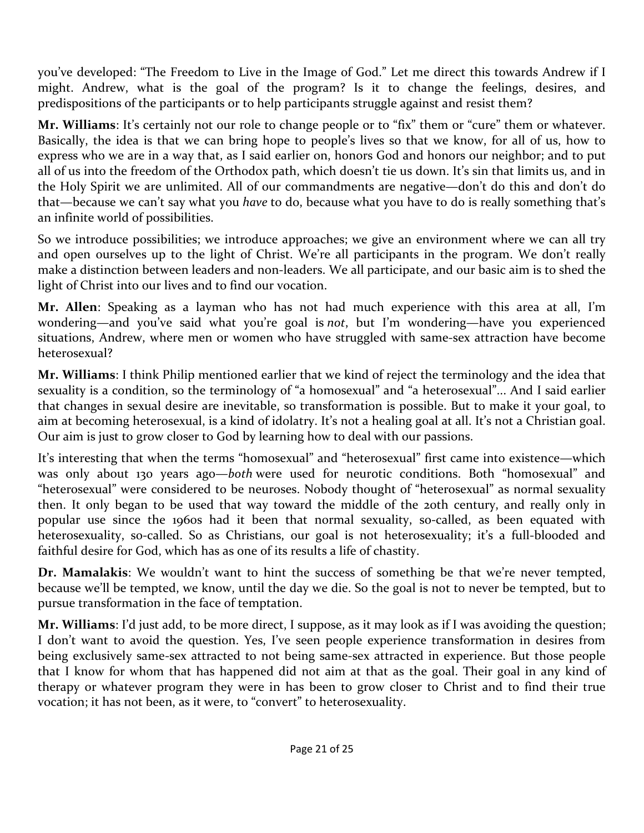you've developed: "The Freedom to Live in the Image of God." Let me direct this towards Andrew if I might. Andrew, what is the goal of the program? Is it to change the feelings, desires, and predispositions of the participants or to help participants struggle against and resist them?

**Mr. Williams**: It's certainly not our role to change people or to "fix" them or "cure" them or whatever. Basically, the idea is that we can bring hope to people's lives so that we know, for all of us, how to express who we are in a way that, as I said earlier on, honors God and honors our neighbor; and to put all of us into the freedom of the Orthodox path, which doesn't tie us down. It's sin that limits us, and in the Holy Spirit we are unlimited. All of our commandments are negative—don't do this and don't do that—because we can't say what you *have* to do, because what you have to do is really something that's an infinite world of possibilities.

So we introduce possibilities; we introduce approaches; we give an environment where we can all try and open ourselves up to the light of Christ. We're all participants in the program. We don't really make a distinction between leaders and non-leaders. We all participate, and our basic aim is to shed the light of Christ into our lives and to find our vocation.

**Mr. Allen**: Speaking as a layman who has not had much experience with this area at all, I'm wondering—and you've said what you're goal is *not*, but I'm wondering—have you experienced situations, Andrew, where men or women who have struggled with same-sex attraction have become heterosexual?

**Mr. Williams**: I think Philip mentioned earlier that we kind of reject the terminology and the idea that sexuality is a condition, so the terminology of "a homosexual" and "a heterosexual"... And I said earlier that changes in sexual desire are inevitable, so transformation is possible. But to make it your goal, to aim at becoming heterosexual, is a kind of idolatry. It's not a healing goal at all. It's not a Christian goal. Our aim is just to grow closer to God by learning how to deal with our passions.

It's interesting that when the terms "homosexual" and "heterosexual" first came into existence—which was only about 130 years ago—*both* were used for neurotic conditions. Both "homosexual" and "heterosexual" were considered to be neuroses. Nobody thought of "heterosexual" as normal sexuality then. It only began to be used that way toward the middle of the 20th century, and really only in popular use since the 1960s had it been that normal sexuality, so-called, as been equated with heterosexuality, so-called. So as Christians, our goal is not heterosexuality; it's a full-blooded and faithful desire for God, which has as one of its results a life of chastity.

**Dr. Mamalakis**: We wouldn't want to hint the success of something be that we're never tempted, because we'll be tempted, we know, until the day we die. So the goal is not to never be tempted, but to pursue transformation in the face of temptation.

**Mr. Williams**: I'd just add, to be more direct, I suppose, as it may look as if I was avoiding the question; I don't want to avoid the question. Yes, I've seen people experience transformation in desires from being exclusively same-sex attracted to not being same-sex attracted in experience. But those people that I know for whom that has happened did not aim at that as the goal. Their goal in any kind of therapy or whatever program they were in has been to grow closer to Christ and to find their true vocation; it has not been, as it were, to "convert" to heterosexuality.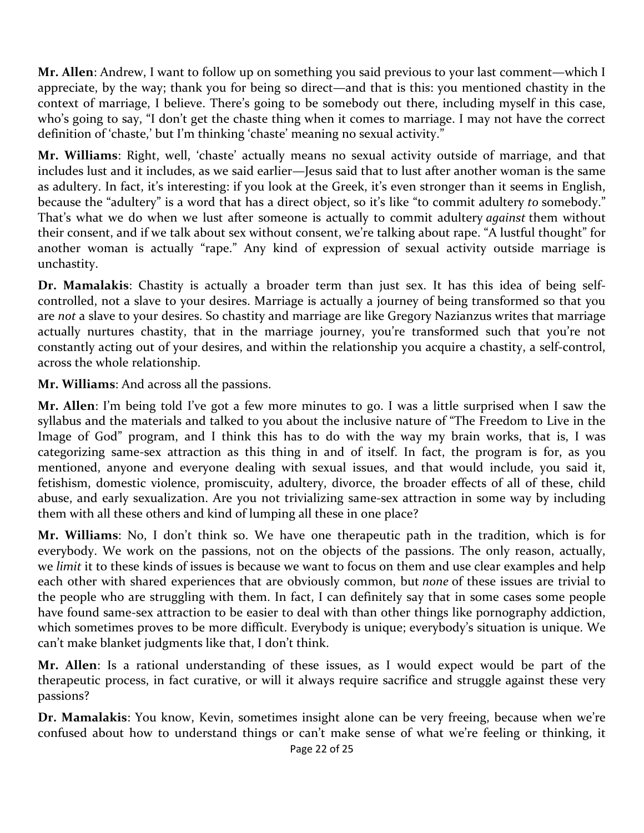**Mr. Allen**: Andrew, I want to follow up on something you said previous to your last comment—which I appreciate, by the way; thank you for being so direct—and that is this: you mentioned chastity in the context of marriage, I believe. There's going to be somebody out there, including myself in this case, who's going to say, "I don't get the chaste thing when it comes to marriage. I may not have the correct definition of 'chaste,' but I'm thinking 'chaste' meaning no sexual activity."

**Mr. Williams**: Right, well, 'chaste' actually means no sexual activity outside of marriage, and that includes lust and it includes, as we said earlier—Jesus said that to lust after another woman is the same as adultery. In fact, it's interesting: if you look at the Greek, it's even stronger than it seems in English, because the "adultery" is a word that has a direct object, so it's like "to commit adultery *to* somebody." That's what we do when we lust after someone is actually to commit adultery *against* them without their consent, and if we talk about sex without consent, we're talking about rape. "A lustful thought" for another woman is actually "rape." Any kind of expression of sexual activity outside marriage is unchastity.

**Dr. Mamalakis**: Chastity is actually a broader term than just sex. It has this idea of being selfcontrolled, not a slave to your desires. Marriage is actually a journey of being transformed so that you are *not* a slave to your desires. So chastity and marriage are like Gregory Nazianzus writes that marriage actually nurtures chastity, that in the marriage journey, you're transformed such that you're not constantly acting out of your desires, and within the relationship you acquire a chastity, a self-control, across the whole relationship.

**Mr. Williams**: And across all the passions.

**Mr. Allen**: I'm being told I've got a few more minutes to go. I was a little surprised when I saw the syllabus and the materials and talked to you about the inclusive nature of "The Freedom to Live in the Image of God" program, and I think this has to do with the way my brain works, that is, I was categorizing same-sex attraction as this thing in and of itself. In fact, the program is for, as you mentioned, anyone and everyone dealing with sexual issues, and that would include, you said it, fetishism, domestic violence, promiscuity, adultery, divorce, the broader effects of all of these, child abuse, and early sexualization. Are you not trivializing same-sex attraction in some way by including them with all these others and kind of lumping all these in one place?

**Mr. Williams**: No, I don't think so. We have one therapeutic path in the tradition, which is for everybody. We work on the passions, not on the objects of the passions. The only reason, actually, we *limit* it to these kinds of issues is because we want to focus on them and use clear examples and help each other with shared experiences that are obviously common, but *none* of these issues are trivial to the people who are struggling with them. In fact, I can definitely say that in some cases some people have found same-sex attraction to be easier to deal with than other things like pornography addiction, which sometimes proves to be more difficult. Everybody is unique; everybody's situation is unique. We can't make blanket judgments like that, I don't think.

**Mr. Allen**: Is a rational understanding of these issues, as I would expect would be part of the therapeutic process, in fact curative, or will it always require sacrifice and struggle against these very passions?

**Dr. Mamalakis**: You know, Kevin, sometimes insight alone can be very freeing, because when we're confused about how to understand things or can't make sense of what we're feeling or thinking, it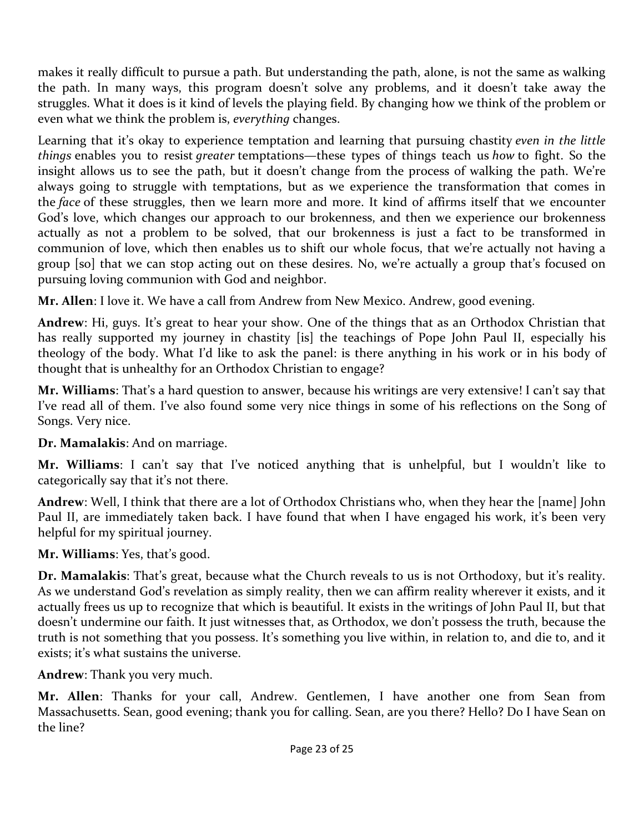makes it really difficult to pursue a path. But understanding the path, alone, is not the same as walking the path. In many ways, this program doesn't solve any problems, and it doesn't take away the struggles. What it does is it kind of levels the playing field. By changing how we think of the problem or even what we think the problem is, *everything* changes.

Learning that it's okay to experience temptation and learning that pursuing chastity *even in the little things* enables you to resist *greater* temptations—these types of things teach us *how* to fight. So the insight allows us to see the path, but it doesn't change from the process of walking the path. We're always going to struggle with temptations, but as we experience the transformation that comes in the *face* of these struggles, then we learn more and more. It kind of affirms itself that we encounter God's love, which changes our approach to our brokenness, and then we experience our brokenness actually as not a problem to be solved, that our brokenness is just a fact to be transformed in communion of love, which then enables us to shift our whole focus, that we're actually not having a group [so] that we can stop acting out on these desires. No, we're actually a group that's focused on pursuing loving communion with God and neighbor.

**Mr. Allen**: I love it. We have a call from Andrew from New Mexico. Andrew, good evening.

**Andrew**: Hi, guys. It's great to hear your show. One of the things that as an Orthodox Christian that has really supported my journey in chastity [is] the teachings of Pope John Paul II, especially his theology of the body. What I'd like to ask the panel: is there anything in his work or in his body of thought that is unhealthy for an Orthodox Christian to engage?

**Mr. Williams**: That's a hard question to answer, because his writings are very extensive! I can't say that I've read all of them. I've also found some very nice things in some of his reflections on the Song of Songs. Very nice.

**Dr. Mamalakis**: And on marriage.

**Mr. Williams**: I can't say that I've noticed anything that is unhelpful, but I wouldn't like to categorically say that it's not there.

**Andrew**: Well, I think that there are a lot of Orthodox Christians who, when they hear the [name] John Paul II, are immediately taken back. I have found that when I have engaged his work, it's been very helpful for my spiritual journey.

**Mr. Williams**: Yes, that's good.

**Dr. Mamalakis**: That's great, because what the Church reveals to us is not Orthodoxy, but it's reality. As we understand God's revelation as simply reality, then we can affirm reality wherever it exists, and it actually frees us up to recognize that which is beautiful. It exists in the writings of John Paul II, but that doesn't undermine our faith. It just witnesses that, as Orthodox, we don't possess the truth, because the truth is not something that you possess. It's something you live within, in relation to, and die to, and it exists; it's what sustains the universe.

**Andrew**: Thank you very much.

**Mr. Allen**: Thanks for your call, Andrew. Gentlemen, I have another one from Sean from Massachusetts. Sean, good evening; thank you for calling. Sean, are you there? Hello? Do I have Sean on the line?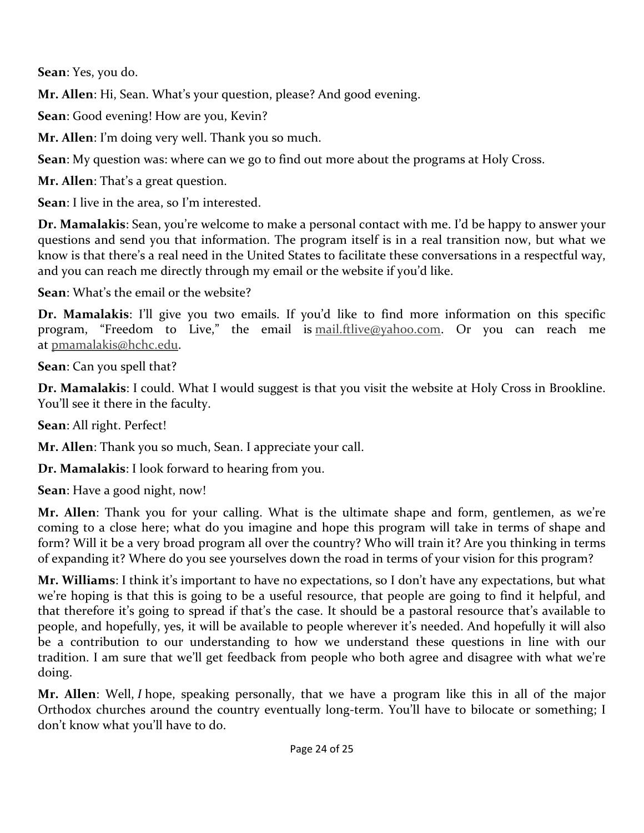**Sean**: Yes, you do.

**Mr. Allen**: Hi, Sean. What's your question, please? And good evening.

**Sean**: Good evening! How are you, Kevin?

**Mr. Allen**: I'm doing very well. Thank you so much.

**Sean**: My question was: where can we go to find out more about the programs at Holy Cross.

**Mr. Allen**: That's a great question.

**Sean**: I live in the area, so I'm interested.

**Dr. Mamalakis**: Sean, you're welcome to make a personal contact with me. I'd be happy to answer your questions and send you that information. The program itself is in a real transition now, but what we know is that there's a real need in the United States to facilitate these conversations in a respectful way, and you can reach me directly through my email or the website if you'd like.

**Sean**: What's the email or the website?

**Dr. Mamalakis**: I'll give you two emails. If you'd like to find more information on this specific program, "Freedom to Live," the email is mail.ftlive@yahoo.com. Or you can reach me at pmamalakis@hchc.edu.

**Sean**: Can you spell that?

**Dr. Mamalakis**: I could. What I would suggest is that you visit the website at Holy Cross in Brookline. You'll see it there in the faculty.

**Sean**: All right. Perfect!

**Mr. Allen**: Thank you so much, Sean. I appreciate your call.

**Dr. Mamalakis**: I look forward to hearing from you.

**Sean**: Have a good night, now!

**Mr. Allen**: Thank you for your calling. What is the ultimate shape and form, gentlemen, as we're coming to a close here; what do you imagine and hope this program will take in terms of shape and form? Will it be a very broad program all over the country? Who will train it? Are you thinking in terms of expanding it? Where do you see yourselves down the road in terms of your vision for this program?

**Mr. Williams**: I think it's important to have no expectations, so I don't have any expectations, but what we're hoping is that this is going to be a useful resource, that people are going to find it helpful, and that therefore it's going to spread if that's the case. It should be a pastoral resource that's available to people, and hopefully, yes, it will be available to people wherever it's needed. And hopefully it will also be a contribution to our understanding to how we understand these questions in line with our tradition. I am sure that we'll get feedback from people who both agree and disagree with what we're doing.

**Mr. Allen**: Well, *I* hope, speaking personally, that we have a program like this in all of the major Orthodox churches around the country eventually long-term. You'll have to bilocate or something; I don't know what you'll have to do.